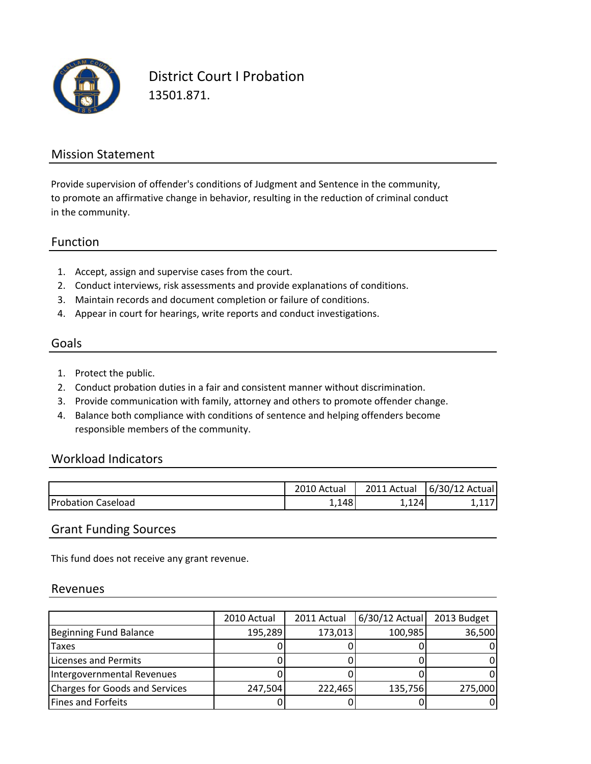

District Court I Probation 13501.871.

#### Mission Statement

to promote an affirmative change in behavior, resulting in the reduction of criminal conduct in the community. Provide supervision of offender's conditions of Judgment and Sentence in the community,

#### Function

- 1. Accept, assign and supervise cases from the court.
- 2. Conduct interviews, risk assessments and provide explanations of conditions.
- 3. Maintain records and document completion or failure of conditions.
- 4. Appear in court for hearings, write reports and conduct investigations.

### Goals

- 1. Protect the public.
- 2. Conduct probation duties in a fair and consistent manner without discrimination.
- 3. Provide communication with family, attorney and others to promote offender change.
- 4. Balance both compliance with conditions of sentence and helping offenders become responsible members of the community.

#### Workload Indicators

|                           | 2010 Actual | 2011 Actual | 6/30/12<br>: Actual I |
|---------------------------|-------------|-------------|-----------------------|
| <b>Probation Caseload</b> | 1,148       | 1,124       | .                     |

#### Grant Funding Sources

This fund does not receive any grant revenue.

#### Revenues

|                                       | 2010 Actual | 2011 Actual | 6/30/12 Actual | 2013 Budget |
|---------------------------------------|-------------|-------------|----------------|-------------|
| Beginning Fund Balance                | 195,289     | 173,013     | 100,985        | 36,500      |
| Taxes                                 |             |             |                |             |
| Licenses and Permits                  |             |             |                |             |
| Intergovernmental Revenues            |             |             |                |             |
| <b>Charges for Goods and Services</b> | 247,504     | 222,465     | 135,756        | 275,000     |
| <b>Fines and Forfeits</b>             |             |             |                |             |